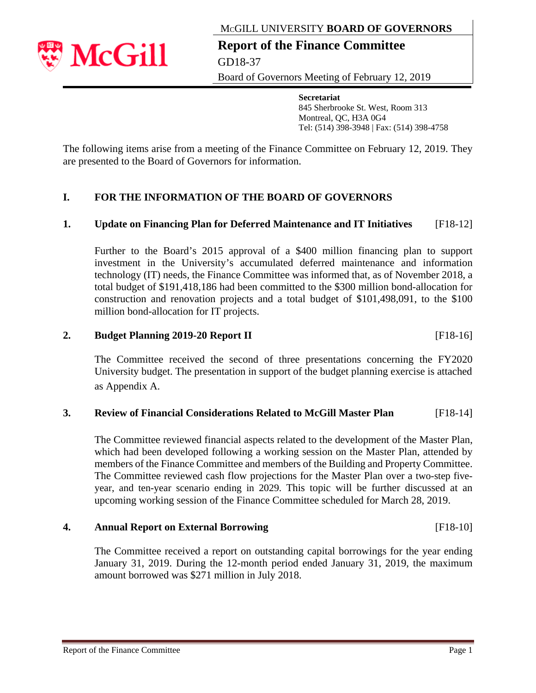MCGILL UNIVERSITY **BOARD OF GOVERNORS**



**Report of the Finance Committee**  GD18-37

Board of Governors Meeting of February 12, 2019

**Secretariat**  845 Sherbrooke St. West, Room 313 Montreal, QC, H3A 0G4 Tel: (514) 398-3948 | Fax: (514) 398-4758

The following items arise from a meeting of the Finance Committee on February 12, 2019. They are presented to the Board of Governors for information.

#### **I. FOR THE INFORMATION OF THE BOARD OF GOVERNORS**

#### **1. Update on Financing Plan for Deferred Maintenance and IT Initiatives** [F18-12]

Further to the Board's 2015 approval of a \$400 million financing plan to support investment in the University's accumulated deferred maintenance and information technology (IT) needs, the Finance Committee was informed that, as of November 2018, a total budget of \$191,418,186 had been committed to the \$300 million bond-allocation for construction and renovation projects and a total budget of \$101,498,091, to the \$100 million bond-allocation for IT projects.

#### **2. Budget Planning 2019-20 Report II** [F18-16]

The Committee received the second of three presentations concerning the FY2020 University budget. The presentation in support of the budget planning exercise is attached as Appendix A.

#### **3. Review of Financial Considerations Related to McGill Master Plan** [F18-14]

The Committee reviewed financial aspects related to the development of the Master Plan, which had been developed following a working session on the Master Plan, attended by members of the Finance Committee and members of the Building and Property Committee. The Committee reviewed cash flow projections for the Master Plan over a two-step fiveyear, and ten-year scenario ending in 2029. This topic will be further discussed at an upcoming working session of the Finance Committee scheduled for March 28, 2019.

#### **4. Annual Report on External Borrowing** [F18-10]

The Committee received a report on outstanding capital borrowings for the year ending January 31, 2019. During the 12-month period ended January 31, 2019, the maximum amount borrowed was \$271 million in July 2018.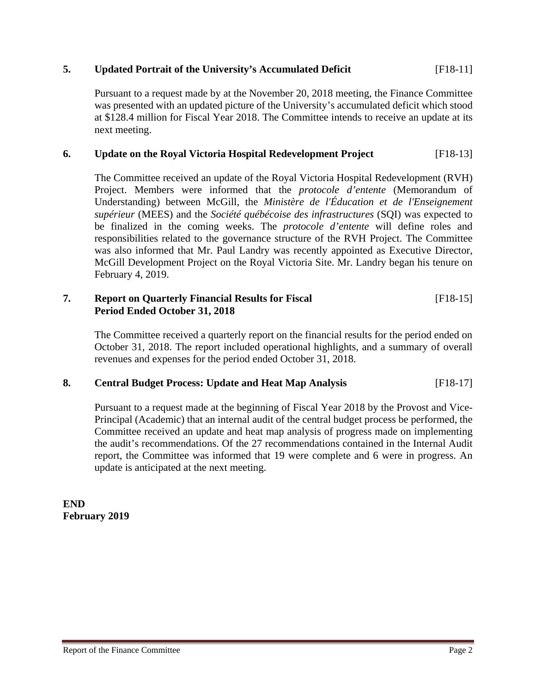#### **5. Updated Portrait of the University's Accumulated Deficit** [F18-11]

Pursuant to a request made by at the November 20, 2018 meeting, the Finance Committee was presented with an updated picture of the University's accumulated deficit which stood at \$128.4 million for Fiscal Year 2018. The Committee intends to receive an update at its next meeting.

#### **6. Update on the Royal Victoria Hospital Redevelopment Project** [F18-13]

The Committee received an update of the Royal Victoria Hospital Redevelopment (RVH) Project. Members were informed that the *protocole d'entente* (Memorandum of Understanding) between McGill, the *Ministère de l'Éducation et de l'Enseignement supérieur* (MEES) and the *Société québécoise des infrastructures* (SQI) was expected to be finalized in the coming weeks. The *protocole d'entente* will define roles and responsibilities related to the governance structure of the RVH Project. The Committee was also informed that Mr. Paul Landry was recently appointed as Executive Director, McGill Development Project on the Royal Victoria Site. Mr. Landry began his tenure on February 4, 2019.

#### **7. Report on Quarterly Financial Results for Fiscal** [F18-15] **Period Ended October 31, 2018**

The Committee received a quarterly report on the financial results for the period ended on October 31, 2018. The report included operational highlights, and a summary of overall revenues and expenses for the period ended October 31, 2018.

#### **8. Central Budget Process: Update and Heat Map Analysis** [F18-17]

Pursuant to a request made at the beginning of Fiscal Year 2018 by the Provost and Vice-Principal (Academic) that an internal audit of the central budget process be performed, the Committee received an update and heat map analysis of progress made on implementing the audit's recommendations. Of the 27 recommendations contained in the Internal Audit report, the Committee was informed that 19 were complete and 6 were in progress. An update is anticipated at the next meeting.

**END February 2019**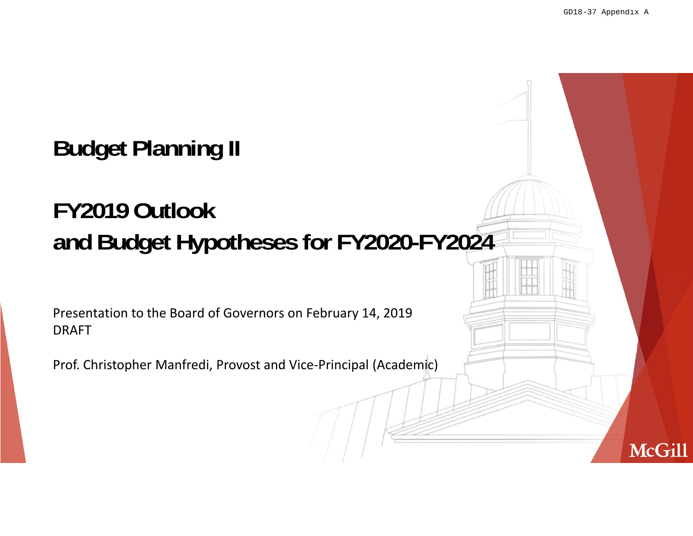**McGill** 

## **Budget Planning II**

## **FY2019 Outlookand Budget Hypotheses for FY2020-FY2024**

Presentation to the Board of Governors on February 14, <sup>2019</sup> DRAFT

Prof. Christopher Manfredi, Provost and Vice‐Principal (Academic)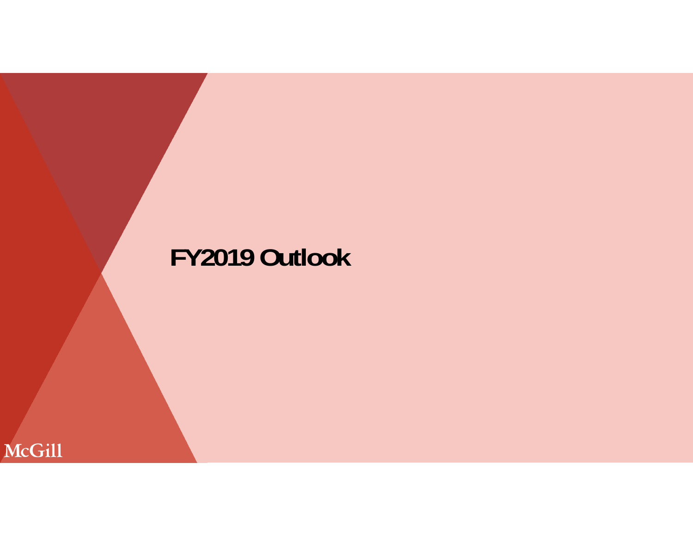# **FY2019 Outlook**

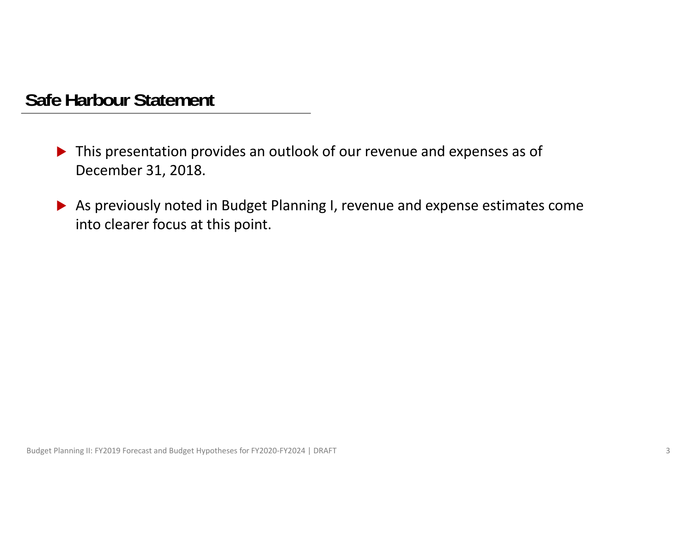#### **Safe Harbour Statement**

- ▶ This presentation provides an outlook of our revenue and expenses as of December 31, 2018.
- As previously noted in Budget Planning I, revenue and expense estimates come into clearer focus at this point.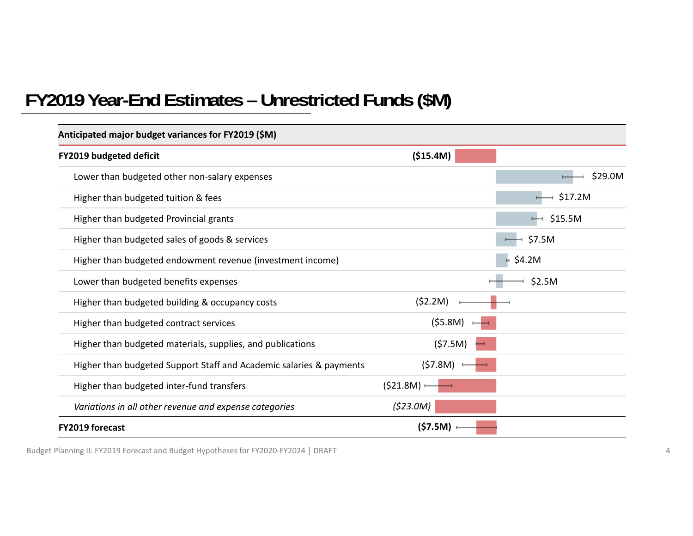#### **FY2019 Year-End Estimates – Unrestricted Funds (\$M)**

| Anticipated major budget variances for FY2019 (\$M)                 |           |              |
|---------------------------------------------------------------------|-----------|--------------|
| <b>FY2019 budgeted deficit</b>                                      | (\$15.4M) |              |
| Lower than budgeted other non-salary expenses                       |           | \$29.0M      |
| Higher than budgeted tuition & fees                                 |           | \$17.2M      |
| Higher than budgeted Provincial grants                              |           | \$15.5M<br>⊶ |
| Higher than budgeted sales of goods & services                      |           | \$7.5M       |
| Higher than budgeted endowment revenue (investment income)          |           | \$4.2M<br>H. |
| Lower than budgeted benefits expenses                               |           | \$2.5M       |
| Higher than budgeted building & occupancy costs                     | (52.2M)   |              |
| Higher than budgeted contract services                              | (55.8M)   |              |
| Higher than budgeted materials, supplies, and publications          | (57.5M)   |              |
| Higher than budgeted Support Staff and Academic salaries & payments | (57.8M)   |              |
| Higher than budgeted inter-fund transfers                           | (521.8M)  |              |
| Variations in all other revenue and expense categories              | (\$23.0M) |              |
| <b>FY2019 forecast</b>                                              | (57.5M)   |              |

Budget Planning II: FY2019 Forecast and Budget Hypotheses for FY2020‐FY2024 | DRAFT <sup>4</sup>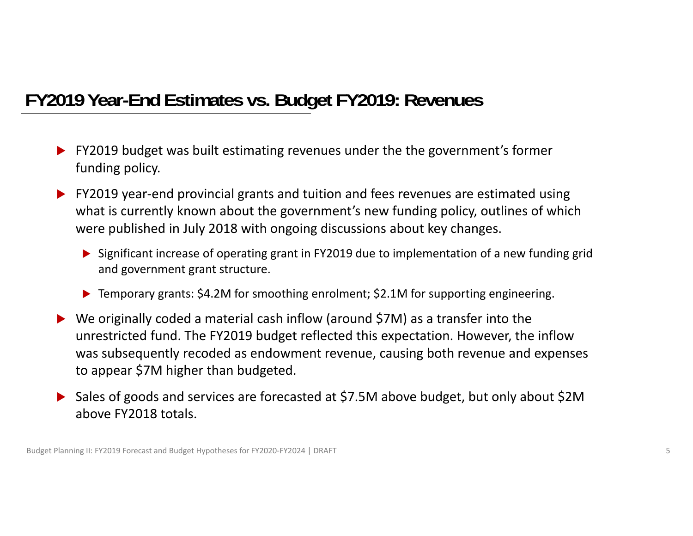### **FY2019 Year-End Estimates vs. Budget FY2019: Revenues**

- **FY2019 budget was built estimating revenues under the the government's former** funding policy.
- ▶ FY2019 year-end provincial grants and tuition and fees revenues are estimated using what is currently known about the government's new funding policy, outlines of which were published in July 2018 with ongoing discussions about key changes.
	- ▶ Significant increase of operating grant in FY2019 due to implementation of a new funding grid and government grant structure.
	- ▶ Temporary grants: \$4.2M for smoothing enrolment; \$2.1M for supporting engineering.
- $\blacktriangleright$  We originally coded <sup>a</sup> material cash inflow (around \$7M) as <sup>a</sup> transfer into the unrestricted fund. The FY2019 budget reflected this expectation. However, the inflow was subsequently recoded as endowment revenue, causing both revenue and expenses to appear \$7M higher than budgeted.
- ▶ Sales of goods and services are forecasted at \$7.5M above budget, but only about \$2M above FY2018 totals.

Budget Planning II: FY2019 Forecast and Budget Hypotheses for FY2020-FY2024 | DRAFT 5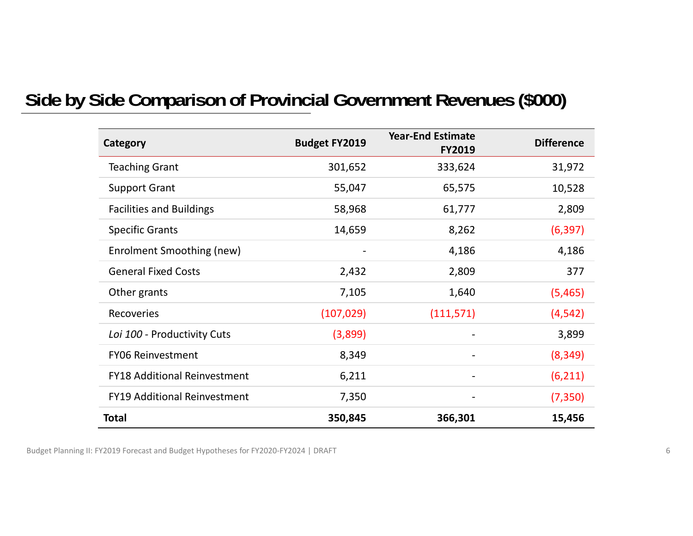### **Side by Side Comparison of Provincial Government Revenues (\$000)**

| Category                            | <b>Budget FY2019</b> | <b>Year-End Estimate</b><br><b>FY2019</b> | <b>Difference</b> |
|-------------------------------------|----------------------|-------------------------------------------|-------------------|
| <b>Teaching Grant</b>               | 301,652              | 333,624                                   | 31,972            |
| <b>Support Grant</b>                | 55,047               | 65,575                                    | 10,528            |
| <b>Facilities and Buildings</b>     | 58,968               | 61,777                                    | 2,809             |
| <b>Specific Grants</b>              | 14,659               | 8,262                                     | (6, 397)          |
| Enrolment Smoothing (new)           |                      | 4,186                                     | 4,186             |
| <b>General Fixed Costs</b>          | 2,432                | 2,809                                     | 377               |
| Other grants                        | 7,105                | 1,640                                     | (5,465)           |
| <b>Recoveries</b>                   | (107, 029)           | (111, 571)                                | (4, 542)          |
| Loi 100 - Productivity Cuts         | (3,899)              |                                           | 3,899             |
| <b>FY06 Reinvestment</b>            | 8,349                |                                           | (8, 349)          |
| <b>FY18 Additional Reinvestment</b> | 6,211                |                                           | (6, 211)          |
| <b>FY19 Additional Reinvestment</b> | 7,350                | -                                         | (7, 350)          |
| <b>Total</b>                        | 350,845              | 366,301                                   | 15,456            |

Budget Planning II: FY2019 Forecast and Budget Hypotheses for FY2020‐FY2024 | DRAFT <sup>6</sup>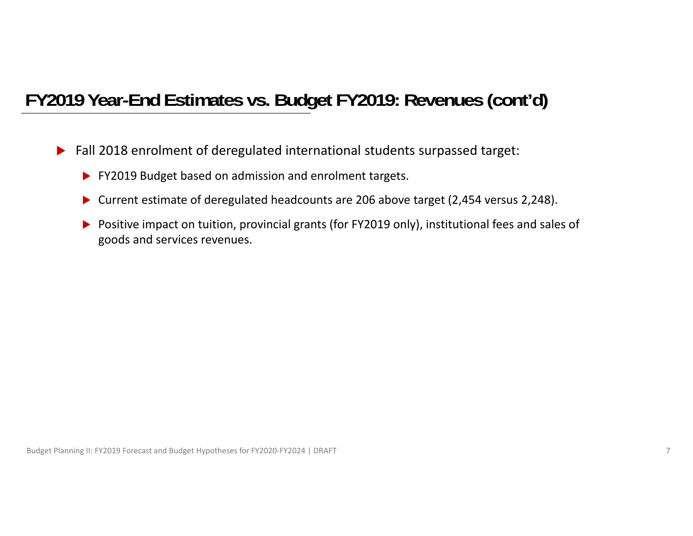### **FY2019 Year-End Estimates vs. Budget FY2019: Revenues (cont'd)**

- $\blacktriangleright$  Fall 2018 enrolment of deregulated international students surpassed target:
	- **FY2019 Budget based on admission and enrolment targets.**
	- ▶ Current estimate of deregulated headcounts are 206 above target (2,454 versus 2,248).
	- ▶ Positive impact on tuition, provincial grants (for FY2019 only), institutional fees and sales of goods and services revenues.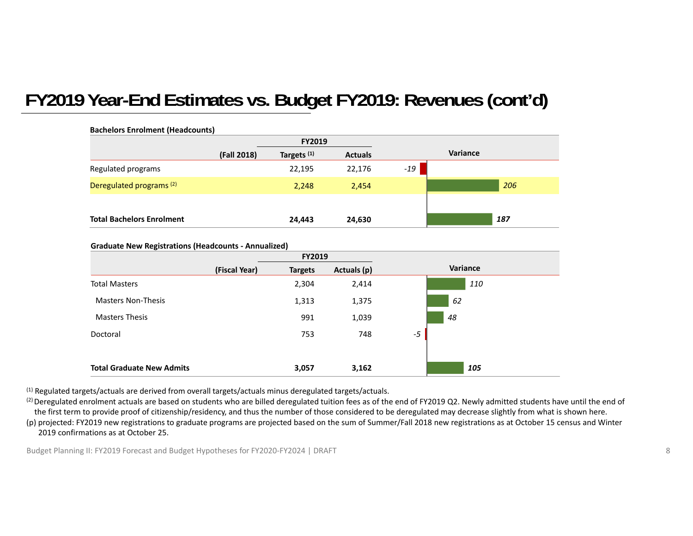### **FY2019 Year-End Estimates vs. Budget FY2019: Revenues (cont'd)**

| <b>Bachelors Enrolment (Headcounts)</b> |             | <b>FY2019</b>          |                |       |          |
|-----------------------------------------|-------------|------------------------|----------------|-------|----------|
|                                         | (Fall 2018) | Targets <sup>(1)</sup> | <b>Actuals</b> |       | Variance |
| Regulated programs                      |             | 22,195                 | 22,176         | $-19$ |          |
| Deregulated programs <sup>(2)</sup>     |             | 2,248                  | 2,454          |       | 206      |
|                                         |             |                        |                |       |          |
| <b>Total Bachelors Enrolment</b>        |             | 24,443                 | 24,630         |       | 187      |

#### **Graduate New Registrations (Headcounts ‐ Annualized)**

|                                  | <b>FY2019</b>  |             |          |
|----------------------------------|----------------|-------------|----------|
| (Fiscal Year)                    | <b>Targets</b> | Actuals (p) | Variance |
| <b>Total Masters</b>             | 2,304          | 2,414       | 110      |
| <b>Masters Non-Thesis</b>        | 1,313          | 1,375       | 62       |
| <b>Masters Thesis</b>            | 991            | 1,039       | 48       |
| Doctoral                         | 753            | 748         | $-5$     |
|                                  |                |             |          |
| <b>Total Graduate New Admits</b> | 3,057          | 3,162       | 105      |

 $<sup>(1)</sup>$  Regulated targets/actuals are derived from overall targets/actuals minus deregulated targets/actuals.</sup>

<sup>(2)</sup> Deregulated enrolment actuals are based on students who are billed deregulated tuition fees as of the end of FY2019 Q2. Newly admitted students have until the end of the first term to provide proof of citizenship/residency, and thus the number of those considered to be deregulated may decrease slightly from what is shown here. (p) projected: FY2019 new registrations to graduate programs are projected based on the sum of Summer/Fall 2018 new registrations as at October 15 census and Winter 2019 confirmations as at October 25.

Budget Planning II: FY2019 Forecast and Budget Hypotheses for FY2020-FY2024 | DRAFT 8 and the state of the state of the state of the state of the state of the state of the state of the state of the state of the state of th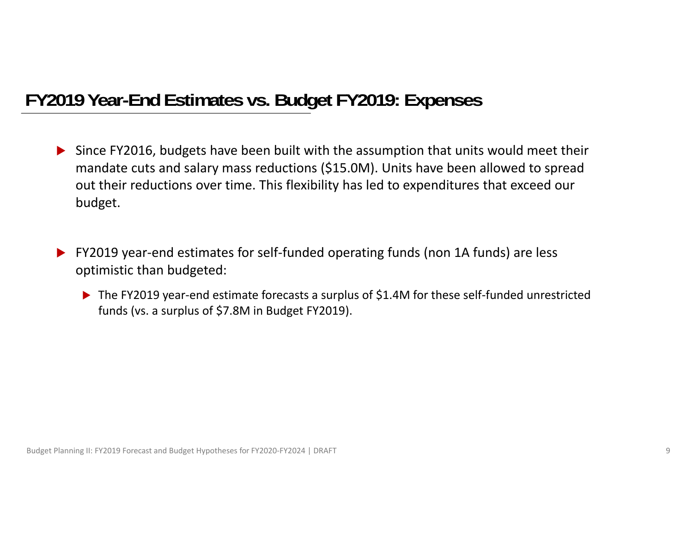### **FY2019 Year-End Estimates vs. Budget FY2019: Expenses**

- Since FY2016, budgets have been built with the assumption that units would meet their mandate cuts and salary mass reductions (\$15.0M). Units have been allowed to spread out their reductions over time. This flexibility has led to expenditures that exceed our budget.
- FY2019 year‐end estimates for self‐funded operating funds (non 1A funds) are less optimistic than budgeted:
	- ▶ The FY2019 year-end estimate forecasts a surplus of \$1.4M for these self-funded unrestricted funds (vs. <sup>a</sup> surplus of \$7.8M in Budget FY2019).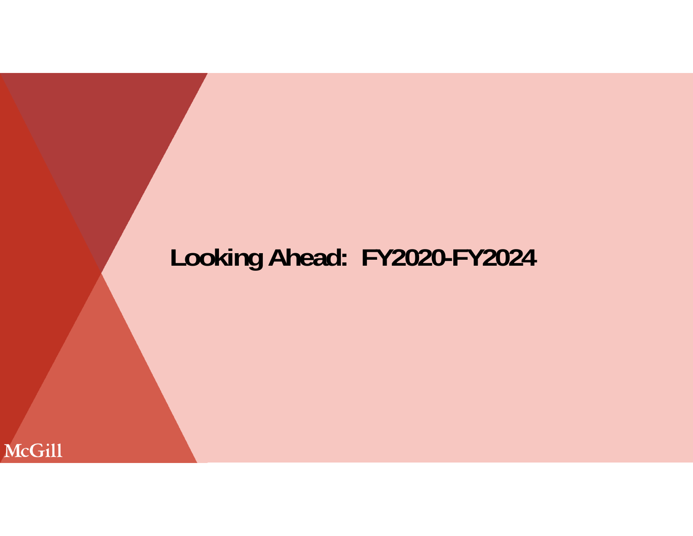# **Looking Ahead: FY2020-FY2024**

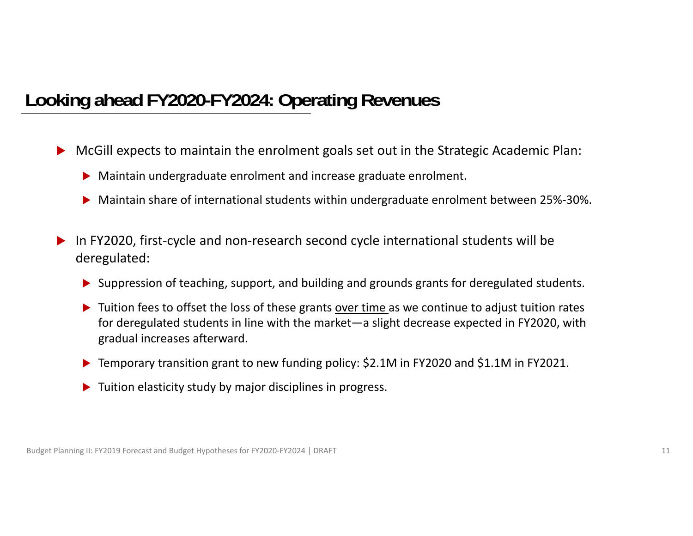### **Looking ahead FY2020-FY2024: Operating Revenues**

- $\blacktriangleright$  McGill expects to maintain the enrolment goals set out in the Strategic Academic Plan:
	- Maintain undergraduate enrolment and increase graduate enrolment.
	- Maintain share of international students within undergraduate enrolment between 25%‐30%.
- $\blacktriangleright$  In FY2020, first‐cycle and non‐research second cycle international students will be deregulated:
	- ▶ Suppression of teaching, support, and building and grounds grants for deregulated students.
	- $\blacktriangleright$  Tuition fees to offset the loss of these grants over time as we continue to adjust tuition rates for deregulated students in line with the market—a slight decrease expected in FY2020, with gradual increases afterward.
	- ▶ Temporary transition grant to new funding policy: \$2.1M in FY2020 and \$1.1M in FY2021.
	- **Tuition elasticity study by major disciplines in progress.**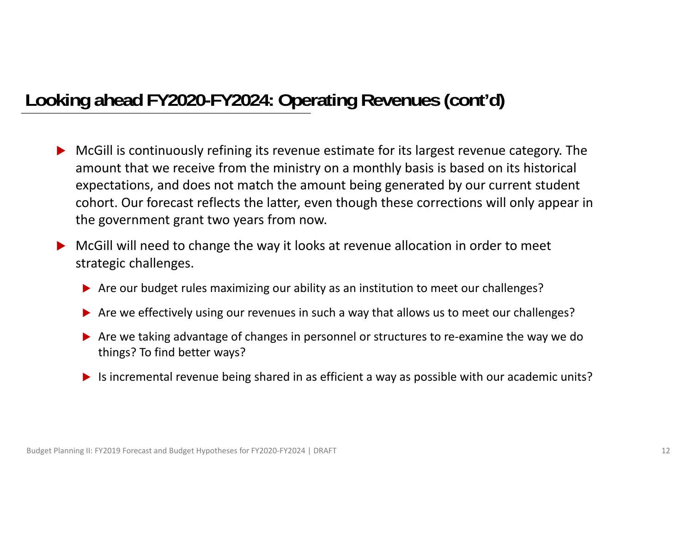### **Looking ahead FY2020-FY2024: Operating Revenues (cont'd)**

- McGill is continuously refining its revenue estimate for its largest revenue category. The amount that we receive from the ministry on <sup>a</sup> monthly basis is based on its historical expectations, and does not match the amount being generated by our current student cohort. Our forecast reflects the latter, even though these corrections will only appear in the government grant two years from now.
- McGill will need to change the way it looks at revenue allocation in order to meet strategic challenges.
	- Are our budget rules maximizing our ability as an institution to meet our challenges?
	- Are we effectively using our revenues in such a way that allows us to meet our challenges?
	- ▶ Are we taking advantage of changes in personnel or structures to re-examine the way we do things? To find better ways?
	- $\blacktriangleright$  Is incremental revenue being shared in as efficient a way as possible with our academic units?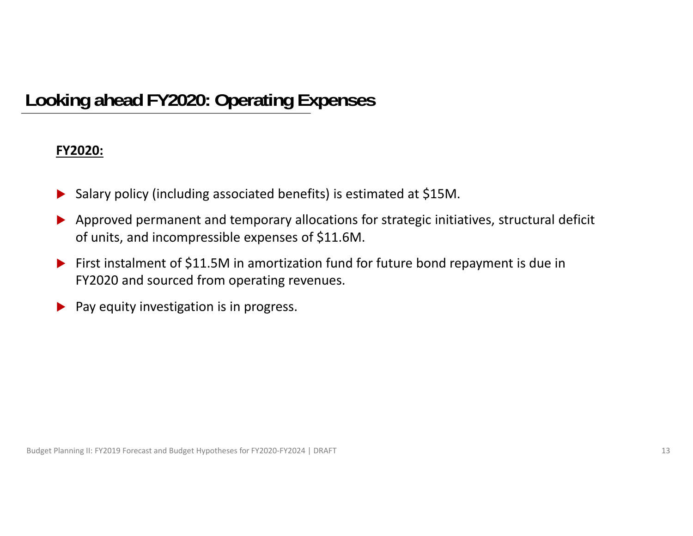## **Looking ahead FY2020: Operating Expenses**

#### **FY2020:**

- $\blacktriangleright$ Salary policy (including associated benefits) is estimated at \$15M.
- $\blacktriangleright$  Approved permanent and temporary allocations for strategic initiatives, structural deficit of units, and incompressible expenses of \$11.6M.
- $\blacktriangleright$  First instalment of \$11.5M in amortization fund for future bond repayment is due in FY2020 and sourced from operating revenues.
- $\blacktriangleright$ Pay equity investigation is in progress.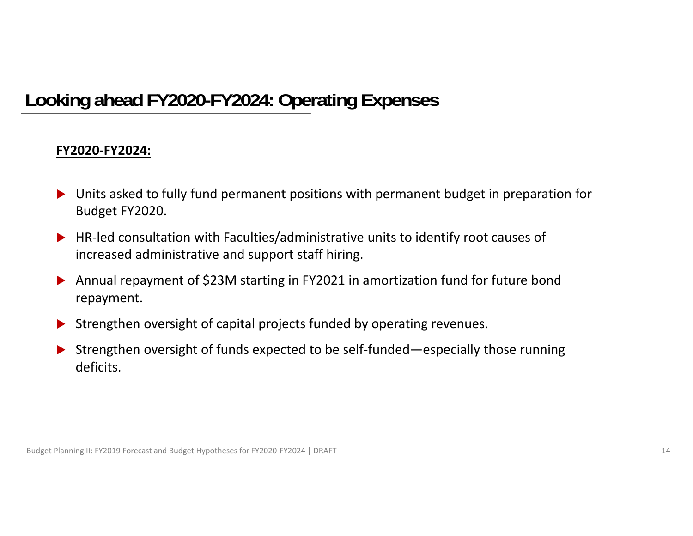### **Looking ahead FY2020-FY2024: Operating Expenses**

#### **FY2020‐FY2024:**

- Units asked to fully fund permanent positions with permanent budget in preparation for Budget FY2020.
- ▶ HR-led consultation with Faculties/administrative units to identify root causes of increased administrative and support staff hiring.
- $\blacktriangleright$  Annual repayment of \$23M starting in FY2021 in amortization fund for future bond repayment.
- $\blacktriangleright$ Strengthen oversight of capital projects funded by operating revenues.
- $\blacktriangleright$  Strengthen oversight of funds expected to be self‐funded—especially those running deficits.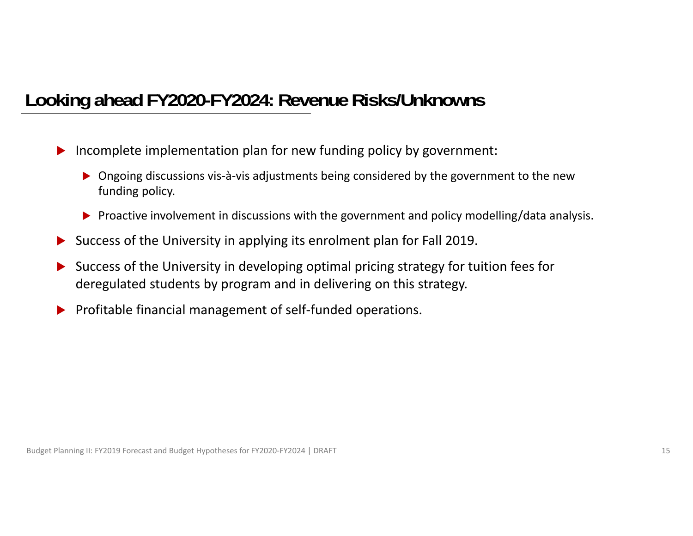### **Looking ahead FY2020-FY2024: Revenue Risks/Unknowns**

- $\blacktriangleright$  Incomplete implementation plan for new funding policy by government:
	- ▶ Ongoing discussions vis-à-vis adjustments being considered by the government to the new funding policy.
	- Proactive involvement in discussions with the government and policy modelling/data analysis.
- $\blacktriangleright$ Success of the University in applying its enrolment plan for Fall 2019.
- $\blacktriangleright$  Success of the University in developing optimal pricing strategy for tuition fees for deregulated students by program and in delivering on this strategy.
- $\blacktriangleright$ Profitable financial management of self‐funded operations.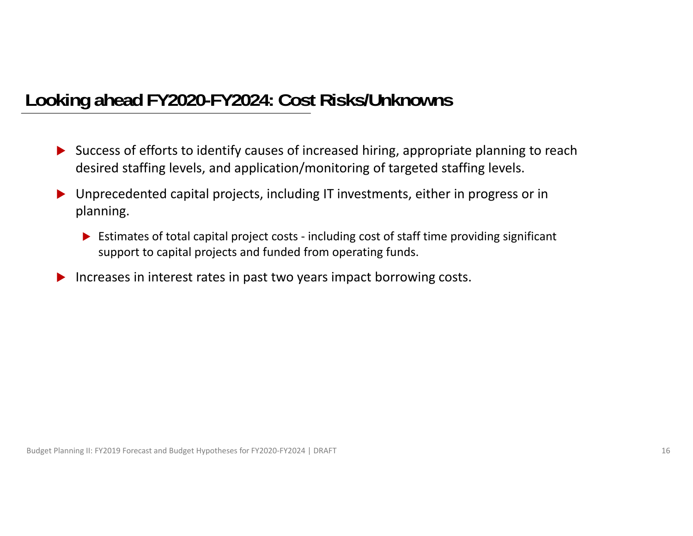### **Looking ahead FY2020-FY2024: Cost Risks/Unknowns**

- ▶ Success of efforts to identify causes of increased hiring, appropriate planning to reach desired staffing levels, and application/monitoring of targeted staffing levels.
- $\blacktriangleright$  Unprecedented capital projects, including IT investments, either in progress or in planning.
	- ▶ Estimates of total capital project costs including cost of staff time providing significant support to capital projects and funded from operating funds.
- $\blacktriangleright$ Increases in interest rates in past two years impact borrowing costs.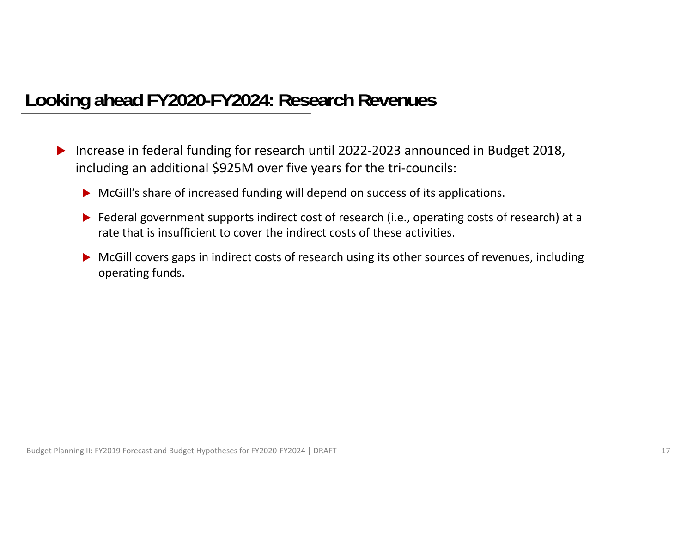### **Looking ahead FY2020-FY2024: Research Revenues**

- $\blacktriangleright$  Increase in federal funding for research until 2022‐2023 announced in Budget 2018, including an additional \$925M over five years for the tri‐councils:
	- ▶ McGill's share of increased funding will depend on success of its applications.
	- ▶ Federal government supports indirect cost of research (i.e., operating costs of research) at a rate that is insufficient to cover the indirect costs of these activities.
	- **McGill covers gaps in indirect costs of research using its other sources of revenues, including** operating funds.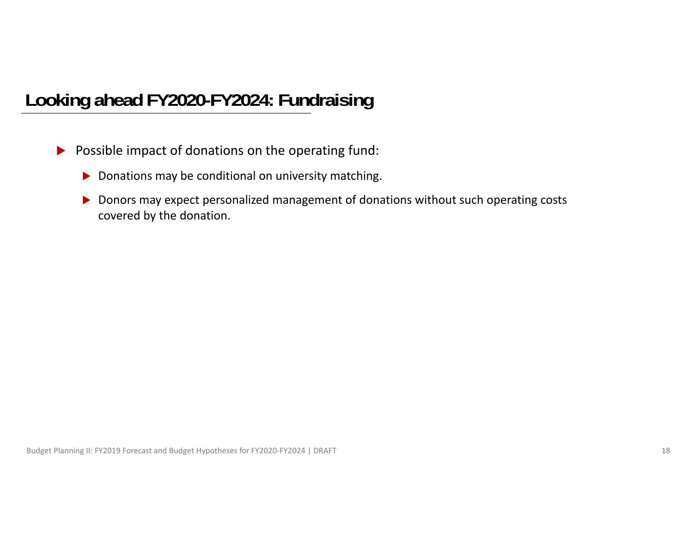### **Looking ahead FY2020-FY2024: Fundraising**

- **Possible impact of donations on the operating fund:** 
	- $\blacktriangleright$  Donations may be conditional on university matching.
	- ▶ Donors may expect personalized management of donations without such operating costs covered by the donation.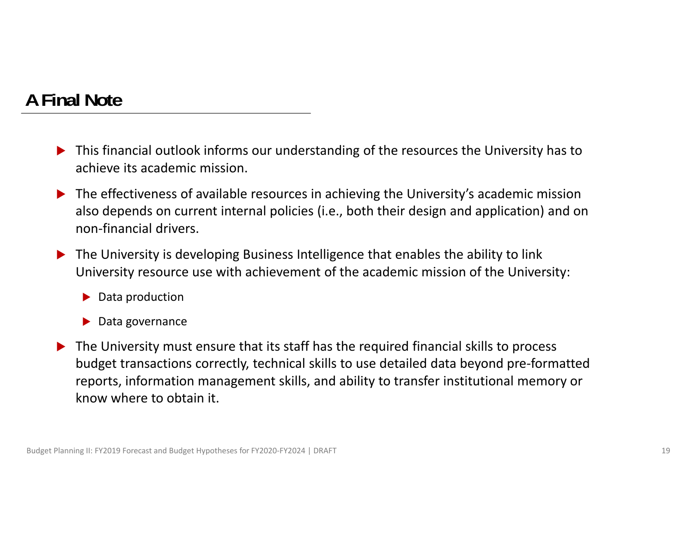### **A Final Note**

- ▶ This financial outlook informs our understanding of the resources the University has to achieve its academic mission.
- ▶ The effectiveness of available resources in achieving the University's academic mission also depends on current internal policies (i.e., both their design and application) and on non‐financial drivers.
- $\blacktriangleright$  The University is developing Business Intelligence that enables the ability to link University resource use with achievement of the academic mission of the University:
	- ▶ Data production
	- ▶ Data governance
- $\blacktriangleright$  The University must ensure that its staff has the required financial skills to process budget transactions correctly, technical skills to use detailed data beyond pre‐formatted reports, information management skills, and ability to transfer institutional memory or know where to obtain it.